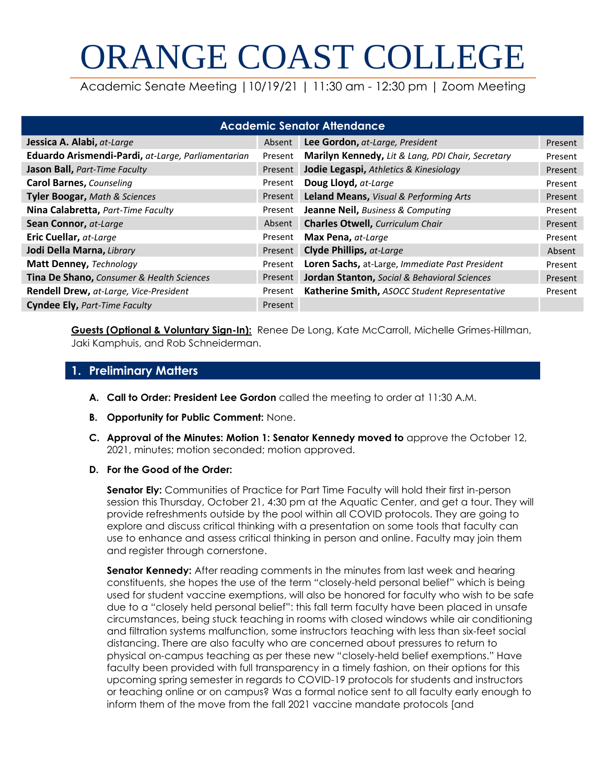# ORANGE COAST COLLEGE

Academic Senate Meeting |10/19/21 | 11:30 am - 12:30 pm | Zoom Meeting

| <b>Academic Senator Attendance</b>                 |         |                                                   |         |  |
|----------------------------------------------------|---------|---------------------------------------------------|---------|--|
| Jessica A. Alabi, at-Large                         | Absent  | Lee Gordon, at-Large, President                   | Present |  |
| Eduardo Arismendi-Pardi, at-Large, Parliamentarian | Present | Marilyn Kennedy, Lit & Lang, PDI Chair, Secretary | Present |  |
| Jason Ball, Part-Time Faculty                      | Present | Jodie Legaspi, Athletics & Kinesiology            | Present |  |
| <b>Carol Barnes, Counseling</b>                    | Present | Doug Lloyd, at-Large                              | Present |  |
| <b>Tyler Boogar, Math &amp; Sciences</b>           | Present | Leland Means, Visual & Performing Arts            | Present |  |
| Nina Calabretta, Part-Time Faculty                 | Present | Jeanne Neil, Business & Computing                 | Present |  |
| Sean Connor, at-Large                              | Absent  | <b>Charles Otwell, Curriculum Chair</b>           | Present |  |
| Eric Cuellar, at-Large                             | Present | Max Pena, at-Large                                | Present |  |
| Jodi Della Marna, Library                          | Present | Clyde Phillips, at-Large                          | Absent  |  |
| Matt Denney, Technology                            | Present | Loren Sachs, at-Large, Immediate Past President   | Present |  |
| Tina De Shano, Consumer & Health Sciences          | Present | Jordan Stanton, Social & Behavioral Sciences      | Present |  |
| Rendell Drew, at-Large, Vice-President             | Present | Katherine Smith, ASOCC Student Representative     | Present |  |
| <b>Cyndee Ely, Part-Time Faculty</b>               | Present |                                                   |         |  |

**Guests (Optional & Voluntary Sign-In):** Renee De Long, Kate McCarroll, Michelle Grimes-Hillman, Jaki Kamphuis, and Rob Schneiderman.

### **1. Preliminary Matters**

- **A. Call to Order: President Lee Gordon** called the meeting to order at 11:30 A.M.
- **B. Opportunity for Public Comment:** None.
- **C. Approval of the Minutes: Motion 1: Senator Kennedy moved to** approve the October 12, 2021, minutes; motion seconded; motion approved.
- **D. For the Good of the Order:**

**Senator Ely:** Communities of Practice for Part Time Faculty will hold their first in-person session this Thursday, October 21, 4:30 pm at the Aquatic Center, and get a tour. They will provide refreshments outside by the pool within all COVID protocols. They are going to explore and discuss critical thinking with a presentation on some tools that faculty can use to enhance and assess critical thinking in person and online. Faculty may join them and register through cornerstone.

**Senator Kennedy:** After reading comments in the minutes from last week and hearing constituents, she hopes the use of the term "closely-held personal belief" which is being used for student vaccine exemptions, will also be honored for faculty who wish to be safe due to a "closely held personal belief": this fall term faculty have been placed in unsafe circumstances, being stuck teaching in rooms with closed windows while air conditioning and filtration systems malfunction, some instructors teaching with less than six-feet social distancing. There are also faculty who are concerned about pressures to return to physical on-campus teaching as per these new "closely-held belief exemptions." Have faculty been provided with full transparency in a timely fashion, on their options for this upcoming spring semester in regards to COVID-19 protocols for students and instructors or teaching online or on campus? Was a formal notice sent to all faculty early enough to inform them of the move from the fall 2021 vaccine mandate protocols [and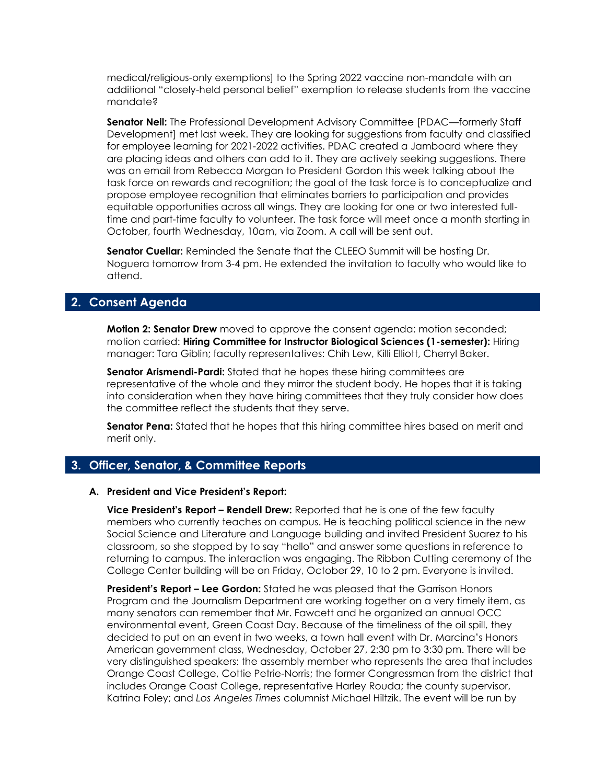medical/religious-only exemptions] to the Spring 2022 vaccine non-mandate with an additional "closely-held personal belief" exemption to release students from the vaccine mandate?

**Senator Neil:** The Professional Development Advisory Committee [PDAC—formerly Staff Development] met last week. They are looking for suggestions from faculty and classified for employee learning for 2021-2022 activities. PDAC created a Jamboard where they are placing ideas and others can add to it. They are actively seeking suggestions. There was an email from Rebecca Morgan to President Gordon this week talking about the task force on rewards and recognition; the goal of the task force is to conceptualize and propose employee recognition that eliminates barriers to participation and provides equitable opportunities across all wings. They are looking for one or two interested fulltime and part-time faculty to volunteer. The task force will meet once a month starting in October, fourth Wednesday, 10am, via Zoom. A call will be sent out.

**Senator Cuellar:** Reminded the Senate that the CLEEO Summit will be hosting Dr. Noguera tomorrow from 3-4 pm. He extended the invitation to faculty who would like to attend.

#### **2. Consent Agenda**

**Motion 2: Senator Drew** moved to approve the consent agenda: motion seconded; motion carried: **Hiring Committee for Instructor Biological Sciences (1-semester):** Hiring manager: Tara Giblin; faculty representatives: Chih Lew, Killi Elliott, Cherryl Baker.

**Senator Arismendi-Pardi:** Stated that he hopes these hiring committees are representative of the whole and they mirror the student body. He hopes that it is taking into consideration when they have hiring committees that they truly consider how does the committee reflect the students that they serve.

**Senator Pena:** Stated that he hopes that this hiring committee hires based on merit and merit only.

#### **3. Officer, Senator, & Committee Reports**

#### **A. President and Vice President's Report:**

**Vice President's Report – Rendell Drew:** Reported that he is one of the few faculty members who currently teaches on campus. He is teaching political science in the new Social Science and Literature and Language building and invited President Suarez to his classroom, so she stopped by to say "hello" and answer some questions in reference to returning to campus. The interaction was engaging. The Ribbon Cutting ceremony of the College Center building will be on Friday, October 29, 10 to 2 pm. Everyone is invited.

**President's Report – Lee Gordon:** Stated he was pleased that the Garrison Honors Program and the Journalism Department are working together on a very timely item, as many senators can remember that Mr. Fawcett and he organized an annual OCC environmental event, Green Coast Day. Because of the timeliness of the oil spill, they decided to put on an event in two weeks, a town hall event with Dr. Marcina's Honors American government class, Wednesday, October 27, 2:30 pm to 3:30 pm. There will be very distinguished speakers: the assembly member who represents the area that includes Orange Coast College, Cottie Petrie-Norris; the former Congressman from the district that includes Orange Coast College, representative Harley Rouda; the county supervisor, Katrina Foley; and *Los Angeles Times* columnist Michael Hiltzik. The event will be run by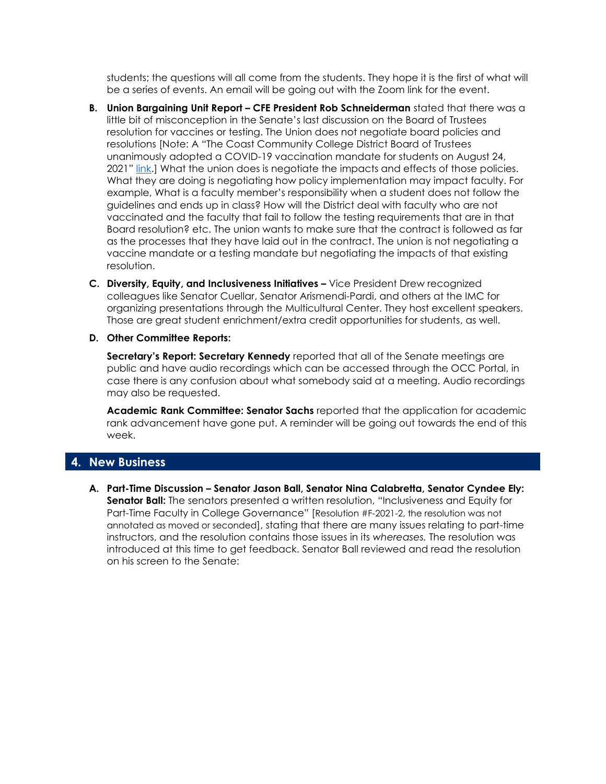students; the questions will all come from the students. They hope it is the first of what will be a series of events. An email will be going out with the Zoom link for the event.

- **B.** Union Bargaining Unit Report CFE President Rob Schneiderman stated that there was a little bit of misconception in the Senate's last discussion on the Board of Trustees resolution for vaccines or testing. The Union does not negotiate board policies and resolutions [Note: A "The Coast Community College District Board of Trustees unanimously adopted a COVID-19 vaccination mandate for students on August 24, 2021" [link.](https://www.cccd.edu/aboutus/novelcoronavirus/)] What the union does is negotiate the impacts and effects of those policies. What they are doing is negotiating how policy implementation may impact faculty. For example, What is a faculty member's responsibility when a student does not follow the guidelines and ends up in class? How will the District deal with faculty who are not vaccinated and the faculty that fail to follow the testing requirements that are in that Board resolution? etc. The union wants to make sure that the contract is followed as far as the processes that they have laid out in the contract. The union is not negotiating a vaccine mandate or a testing mandate but negotiating the impacts of that existing resolution.
- **C. Diversity, Equity, and Inclusiveness Initiatives –** Vice President Drew recognized colleagues like Senator Cuellar, Senator Arismendi-Pardi, and others at the IMC for organizing presentations through the Multicultural Center. They host excellent speakers. Those are great student enrichment/extra credit opportunities for students, as well.
- **D. Other Committee Reports:**

**Secretary's Report: Secretary Kennedy** reported that all of the Senate meetings are public and have audio recordings which can be accessed through the OCC Portal, in case there is any confusion about what somebody said at a meeting. Audio recordings may also be requested.

**Academic Rank Committee: Senator Sachs** reported that the application for academic rank advancement have gone put. A reminder will be going out towards the end of this week.

#### **4. New Business**

**A. Part-Time Discussion – Senator Jason Ball, Senator Nina Calabretta, Senator Cyndee Ely: Senator Ball:** The senators presented a written resolution, "Inclusiveness and Equity for Part-Time Faculty in College Governance" [Resolution #F-2021-2, the resolution was not annotated as moved or seconded], stating that there are many issues relating to part-time instructors, and the resolution contains those issues in its *whereases.* The resolution was introduced at this time to get feedback. Senator Ball reviewed and read the resolution on his screen to the Senate: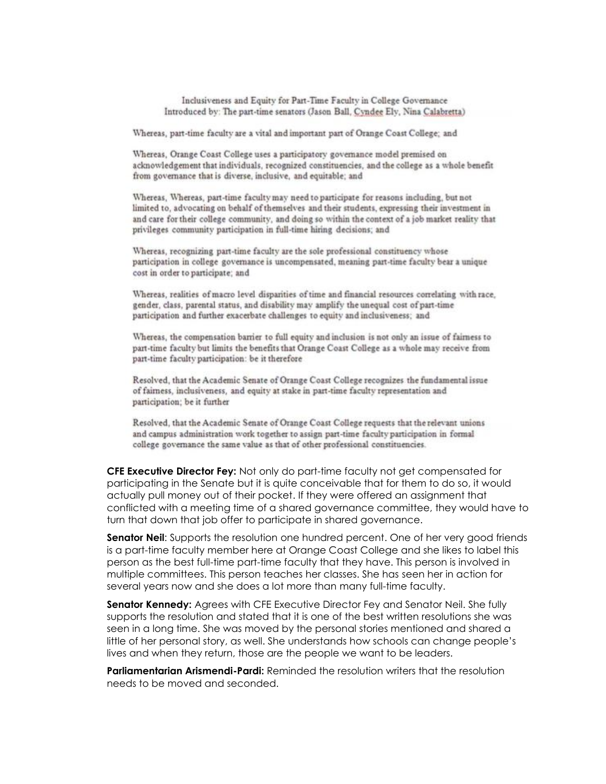Inclusiveness and Equity for Part-Time Faculty in College Governance Introduced by: The part-time senators (Jason Ball, Cyndee Ely, Nina Calabretta)

Whereas, part-time faculty are a vital and important part of Orange Coast College; and

Whereas, Orange Coast College uses a participatory governance model premised on acknowledgement that individuals, recognized constituencies, and the college as a whole benefit from governance that is diverse, inclusive, and equitable; and

Whereas, Whereas, part-time faculty may need to participate for reasons including, but not limited to, advocating on behalf of themselves and their students, expressing their investment in and care for their college community, and doing so within the context of a job market reality that privileges community participation in full-time hiring decisions; and

Whereas, recognizing part-time faculty are the sole professional constituency whose participation in college governance is uncompensated, meaning part-time faculty bear a unique cost in order to participate; and

Whereas, realities of macro level disparities of time and financial resources correlating with race, gender, class, parental status, and disability may amplify the unequal cost of part-time participation and further exacerbate challenges to equity and inclusiveness; and

Whereas, the compensation barrier to full equity and inclusion is not only an issue of fairness to part-time faculty but limits the benefits that Orange Coast College as a whole may receive from part-time faculty participation: be it therefore

Resolved, that the Academic Senate of Orange Coast College recognizes the fundamental issue of faimess, inclusiveness, and equity at stake in part-time faculty representation and participation; be it further

Resolved, that the Academic Senate of Orange Coast College requests that the relevant unions and campus administration work together to assign part-time faculty participation in formal college governance the same value as that of other professional constituencies.

**CFE Executive Director Fey:** Not only do part-time faculty not get compensated for participating in the Senate but it is quite conceivable that for them to do so, it would actually pull money out of their pocket. If they were offered an assignment that conflicted with a meeting time of a shared governance committee, they would have to turn that down that job offer to participate in shared governance.

**Senator Neil:** Supports the resolution one hundred percent. One of her very good friends is a part-time faculty member here at Orange Coast College and she likes to label this person as the best full-time part-time faculty that they have. This person is involved in multiple committees. This person teaches her classes. She has seen her in action for several years now and she does a lot more than many full-time faculty.

**Senator Kennedy:** Agrees with CFE Executive Director Fey and Senator Neil. She fully supports the resolution and stated that it is one of the best written resolutions she was seen in a long time. She was moved by the personal stories mentioned and shared a little of her personal story, as well. She understands how schools can change people's lives and when they return, those are the people we want to be leaders.

**Parliamentarian Arismendi-Pardi:** Reminded the resolution writers that the resolution needs to be moved and seconded.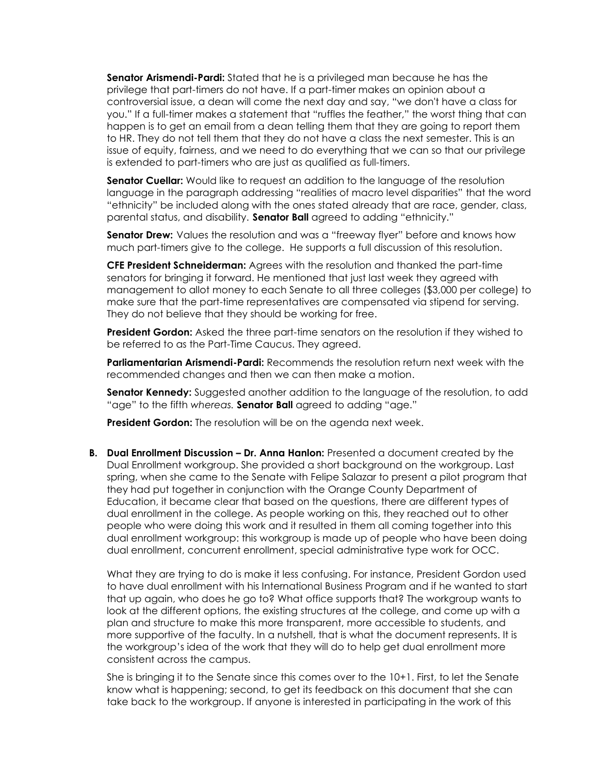**Senator Arismendi-Pardi:** Stated that he is a privileged man because he has the privilege that part-timers do not have. If a part-timer makes an opinion about a controversial issue, a dean will come the next day and say, "we don't have a class for you." If a full-timer makes a statement that "ruffles the feather," the worst thing that can happen is to get an email from a dean telling them that they are going to report them to HR. They do not tell them that they do not have a class the next semester. This is an issue of equity, fairness, and we need to do everything that we can so that our privilege is extended to part-timers who are just as qualified as full-timers.

**Senator Cuellar:** Would like to request an addition to the language of the resolution language in the paragraph addressing "realities of macro level disparities" that the word "ethnicity" be included along with the ones stated already that are race, gender, class, parental status, and disability. **Senator Ball** agreed to adding "ethnicity."

**Senator Drew:** Values the resolution and was a "freeway flyer" before and knows how much part-timers give to the college. He supports a full discussion of this resolution.

**CFE President Schneiderman:** Agrees with the resolution and thanked the part-time senators for bringing it forward. He mentioned that just last week they agreed with management to allot money to each Senate to all three colleges (\$3,000 per college) to make sure that the part-time representatives are compensated via stipend for serving. They do not believe that they should be working for free.

**President Gordon:** Asked the three part-time senators on the resolution if they wished to be referred to as the Part-Time Caucus. They agreed.

**Parliamentarian Arismendi-Pardi:** Recommends the resolution return next week with the recommended changes and then we can then make a motion.

**Senator Kennedy:** Suggested another addition to the language of the resolution, to add "age" to the fifth *whereas.* **Senator Ball** agreed to adding "age."

**President Gordon:** The resolution will be on the agenda next week.

**B. Dual Enrollment Discussion – Dr. Anna Hanlon:** Presented a document created by the Dual Enrollment workgroup. She provided a short background on the workgroup. Last spring, when she came to the Senate with Felipe Salazar to present a pilot program that they had put together in conjunction with the Orange County Department of Education, it became clear that based on the questions, there are different types of dual enrollment in the college. As people working on this, they reached out to other people who were doing this work and it resulted in them all coming together into this dual enrollment workgroup: this workgroup is made up of people who have been doing dual enrollment, concurrent enrollment, special administrative type work for OCC.

What they are trying to do is make it less confusing. For instance, President Gordon used to have dual enrollment with his International Business Program and if he wanted to start that up again, who does he go to? What office supports that? The workgroup wants to look at the different options, the existing structures at the college, and come up with a plan and structure to make this more transparent, more accessible to students, and more supportive of the faculty. In a nutshell, that is what the document represents. It is the workgroup's idea of the work that they will do to help get dual enrollment more consistent across the campus.

She is bringing it to the Senate since this comes over to the 10+1. First, to let the Senate know what is happening; second, to get its feedback on this document that she can take back to the workgroup. If anyone is interested in participating in the work of this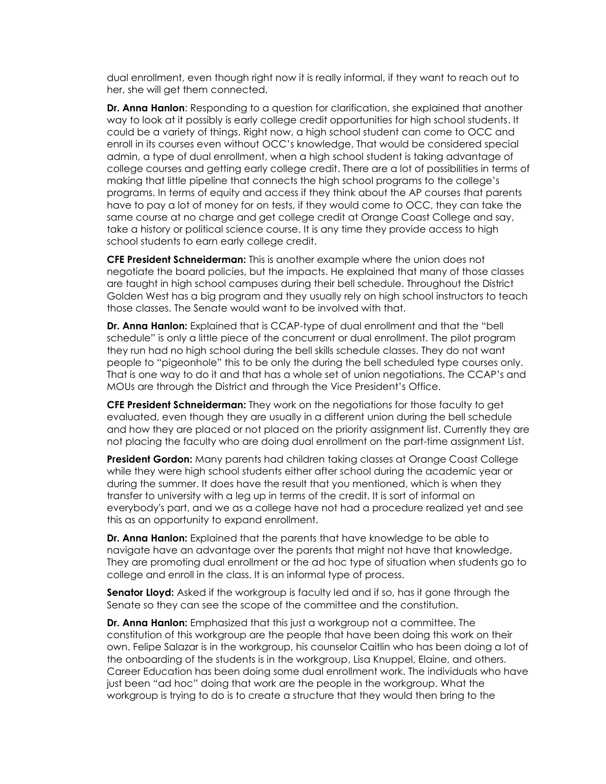dual enrollment, even though right now it is really informal, if they want to reach out to her, she will get them connected.

**Dr. Anna Hanlon**: Responding to a question for clarification, she explained that another way to look at it possibly is early college credit opportunities for high school students. It could be a variety of things. Right now, a high school student can come to OCC and enroll in its courses even without OCC's knowledge. That would be considered special admin, a type of dual enrollment, when a high school student is taking advantage of college courses and getting early college credit. There are a lot of possibilities in terms of making that little pipeline that connects the high school programs to the college's programs. In terms of equity and access if they think about the AP courses that parents have to pay a lot of money for on tests, if they would come to OCC, they can take the same course at no charge and get college credit at Orange Coast College and say, take a history or political science course. It is any time they provide access to high school students to earn early college credit.

**CFE President Schneiderman:** This is another example where the union does not negotiate the board policies, but the impacts. He explained that many of those classes are taught in high school campuses during their bell schedule. Throughout the District Golden West has a big program and they usually rely on high school instructors to teach those classes. The Senate would want to be involved with that.

**Dr. Anna Hanlon:** Explained that is CCAP-type of dual enrollment and that the "bell schedule" is only a little piece of the concurrent or dual enrollment. The pilot program they run had no high school during the bell skills schedule classes. They do not want people to "pigeonhole" this to be only the during the bell scheduled type courses only. That is one way to do it and that has a whole set of union negotiations. The CCAP's and MOUs are through the District and through the Vice President's Office.

**CFE President Schneiderman:** They work on the negotiations for those faculty to get evaluated, even though they are usually in a different union during the bell schedule and how they are placed or not placed on the priority assignment list. Currently they are not placing the faculty who are doing dual enrollment on the part-time assignment List.

**President Gordon:** Many parents had children taking classes at Orange Coast College while they were high school students either after school during the academic year or during the summer. It does have the result that you mentioned, which is when they transfer to university with a leg up in terms of the credit. It is sort of informal on everybody's part, and we as a college have not had a procedure realized yet and see this as an opportunity to expand enrollment.

**Dr. Anna Hanlon:** Explained that the parents that have knowledge to be able to navigate have an advantage over the parents that might not have that knowledge. They are promoting dual enrollment or the ad hoc type of situation when students go to college and enroll in the class. It is an informal type of process.

**Senator Lloyd:** Asked if the workgroup is faculty led and if so, has it gone through the Senate so they can see the scope of the committee and the constitution.

**Dr. Anna Hanlon:** Emphasized that this just a workgroup not a committee. The constitution of this workgroup are the people that have been doing this work on their own. Felipe Salazar is in the workgroup, his counselor Caitlin who has been doing a lot of the onboarding of the students is in the workgroup, Lisa Knuppel, Elaine, and others. Career Education has been doing some dual enrollment work. The individuals who have just been "ad hoc" doing that work are the people in the workgroup. What the workgroup is trying to do is to create a structure that they would then bring to the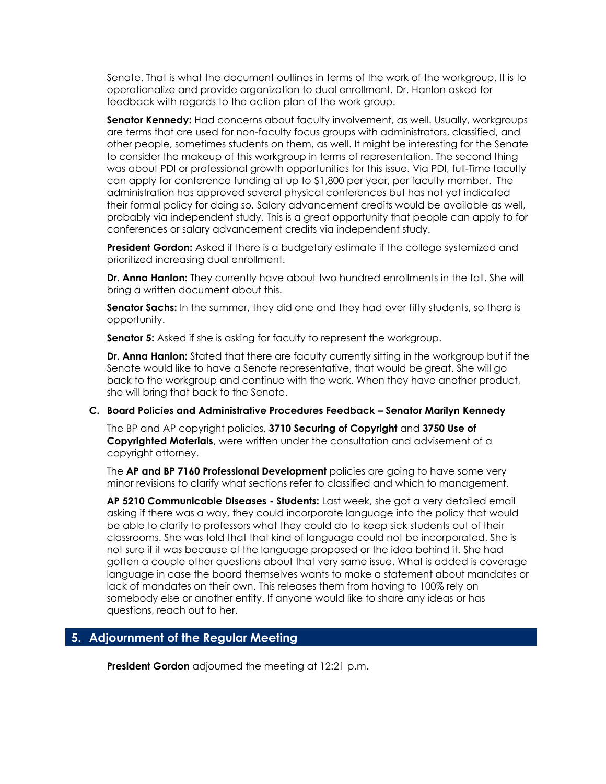Senate. That is what the document outlines in terms of the work of the workgroup. It is to operationalize and provide organization to dual enrollment. Dr. Hanlon asked for feedback with regards to the action plan of the work group.

**Senator Kennedy:** Had concerns about faculty involvement, as well. Usually, workgroups are terms that are used for non-faculty focus groups with administrators, classified, and other people, sometimes students on them, as well. It might be interesting for the Senate to consider the makeup of this workgroup in terms of representation. The second thing was about PDI or professional growth opportunities for this issue. Via PDI, full-Time faculty can apply for conference funding at up to \$1,800 per year, per faculty member. The administration has approved several physical conferences but has not yet indicated their formal policy for doing so. Salary advancement credits would be available as well, probably via independent study. This is a great opportunity that people can apply to for conferences or salary advancement credits via independent study.

**President Gordon:** Asked if there is a budgetary estimate if the college systemized and prioritized increasing dual enrollment.

**Dr. Anna Hanlon:** They currently have about two hundred enrollments in the fall. She will bring a written document about this.

**Senator Sachs:** In the summer, they did one and they had over fifty students, so there is opportunity.

**Senator 5:** Asked if she is asking for faculty to represent the workgroup.

**Dr. Anna Hanlon:** Stated that there are faculty currently sitting in the workgroup but if the Senate would like to have a Senate representative, that would be great. She will go back to the workgroup and continue with the work. When they have another product, she will bring that back to the Senate.

#### **C. Board Policies and Administrative Procedures Feedback – Senator Marilyn Kennedy**

The BP and AP copyright policies, **3710 Securing of Copyright** and **3750 Use of Copyrighted Materials**, were written under the consultation and advisement of a copyright attorney.

The **AP and BP 7160 Professional Development** policies are going to have some very minor revisions to clarify what sections refer to classified and which to management.

**AP 5210 Communicable Diseases - Students:** Last week, she got a very detailed email asking if there was a way, they could incorporate language into the policy that would be able to clarify to professors what they could do to keep sick students out of their classrooms. She was told that that kind of language could not be incorporated. She is not sure if it was because of the language proposed or the idea behind it. She had gotten a couple other questions about that very same issue. What is added is coverage language in case the board themselves wants to make a statement about mandates or lack of mandates on their own. This releases them from having to 100% rely on somebody else or another entity. If anyone would like to share any ideas or has questions, reach out to her.

#### **5. Adjournment of the Regular Meeting**

**President Gordon** adjourned the meeting at 12:21 p.m.